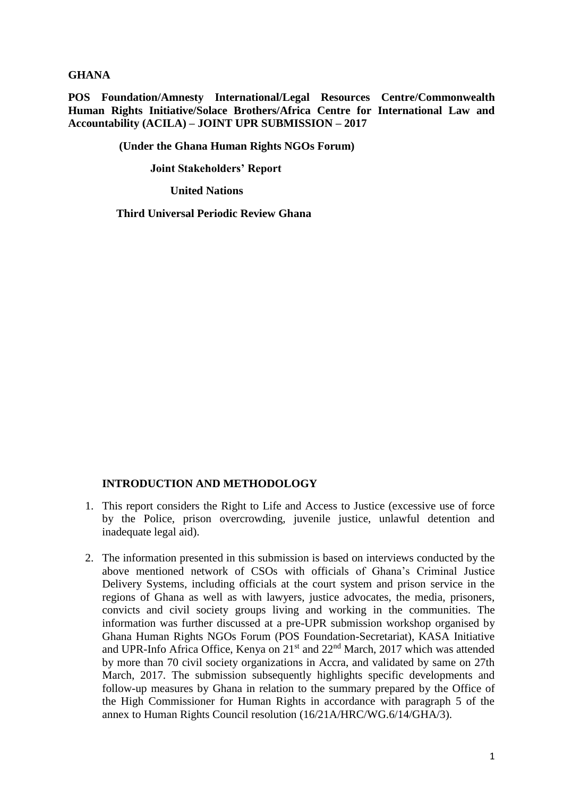**GHANA**

**POS Foundation/Amnesty International/Legal Resources Centre/Commonwealth Human Rights Initiative/Solace Brothers/Africa Centre for International Law and Accountability (ACILA) – JOINT UPR SUBMISSION – 2017**

 **(Under the Ghana Human Rights NGOs Forum)**

 **Joint Stakeholders' Report**

**United Nations**

 **Third Universal Periodic Review Ghana**

#### **INTRODUCTION AND METHODOLOGY**

- 1. This report considers the Right to Life and Access to Justice (excessive use of force by the Police, prison overcrowding, juvenile justice, unlawful detention and inadequate legal aid).
- 2. The information presented in this submission is based on interviews conducted by the above mentioned network of CSOs with officials of Ghana's Criminal Justice Delivery Systems, including officials at the court system and prison service in the regions of Ghana as well as with lawyers, justice advocates, the media, prisoners, convicts and civil society groups living and working in the communities. The information was further discussed at a pre-UPR submission workshop organised by Ghana Human Rights NGOs Forum (POS Foundation-Secretariat), KASA Initiative and UPR-Info Africa Office, Kenya on 21st and 22nd March, 2017 which was attended by more than 70 civil society organizations in Accra, and validated by same on 27th March, 2017. The submission subsequently highlights specific developments and follow-up measures by Ghana in relation to the summary prepared by the Office of the High Commissioner for Human Rights in accordance with paragraph 5 of the annex to Human Rights Council resolution (16/21A/HRC/WG.6/14/GHA/3).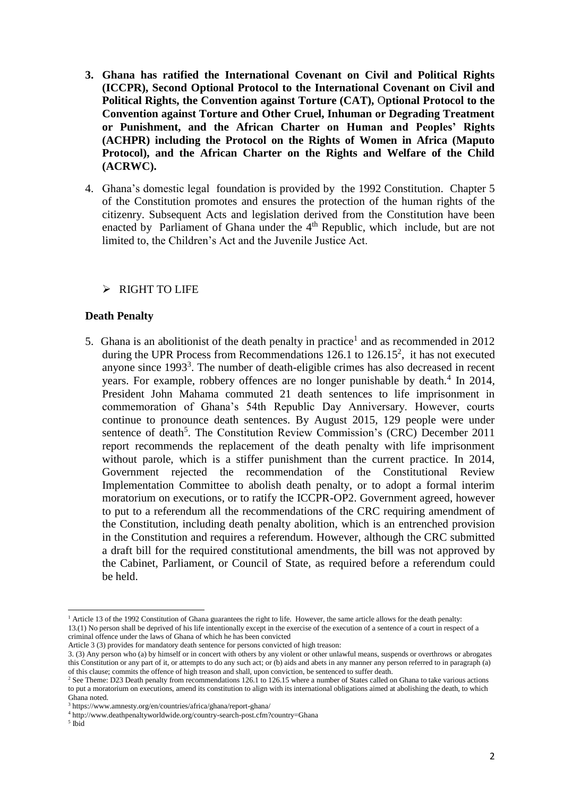- **3. Ghana has ratified the International Covenant on Civil and Political Rights (ICCPR), Second Optional Protocol to the International Covenant on Civil and Political Rights, the Convention against Torture (CAT),** O**ptional Protocol to the Convention against Torture and Other Cruel, Inhuman or Degrading Treatment or Punishment, and the African Charter on Human and Peoples' Rights (ACHPR) including the Protocol on the Rights of Women in Africa (Maputo Protocol), and the African Charter on the Rights and Welfare of the Child (ACRWC).**
- 4. Ghana's domestic legal foundation is provided by the 1992 Constitution. Chapter 5 of the Constitution promotes and ensures the protection of the human rights of the citizenry. Subsequent Acts and legislation derived from the Constitution have been enacted by Parliament of Ghana under the 4<sup>th</sup> Republic, which include, but are not limited to, the Children's Act and the Juvenile Justice Act.

### $\triangleright$  RIGHT TO LIFE

### **Death Penalty**

5. Ghana is an abolitionist of the death penalty in practice<sup>1</sup> and as recommended in  $2012$ during the UPR Process from Recommendations  $126.1$  to  $126.15^2$ , it has not executed anyone since 1993<sup>3</sup>. The number of death-eligible crimes has also decreased in recent years. For example, robbery offences are no longer punishable by death.<sup>4</sup> In 2014, President John Mahama commuted 21 death sentences to life imprisonment in commemoration of Ghana's 54th Republic Day Anniversary. However, courts continue to pronounce death sentences. By August 2015, 129 people were under sentence of death<sup>5</sup>. The Constitution Review Commission's (CRC) December 2011 report recommends the replacement of the death penalty with life imprisonment without parole, which is a stiffer punishment than the current practice. In 2014, Government rejected the recommendation of the Constitutional Review Implementation Committee to abolish death penalty, or to adopt a formal interim moratorium on executions, or to ratify the ICCPR-OP2. Government agreed, however to put to a referendum all the recommendations of the CRC requiring amendment of the Constitution, including death penalty abolition, which is an entrenched provision in the Constitution and requires a referendum. However, although the CRC submitted a draft bill for the required constitutional amendments, the bill was not approved by the Cabinet, Parliament, or Council of State, as required before a referendum could be held.

 $\overline{a}$ <sup>1</sup> Article 13 of the 1992 Constitution of Ghana guarantees the right to life. However, the same article allows for the death penalty: 13.(1) No person shall be deprived of his life intentionally except in the exercise of the execution of a sentence of a court in respect of a

criminal offence under the laws of Ghana of which he has been convicted

Article 3 (3) provides for mandatory death sentence for persons convicted of high treason:

<sup>3. (3)</sup> Any person who (a) by himself or in concert with others by any violent or other unlawful means, suspends or overthrows or abrogates this Constitution or any part of it, or attempts to do any such act; or (b) aids and abets in any manner any person referred to in paragraph (a) of this clause; commits the offence of high treason and shall, upon conviction, be sentenced to suffer death.

<sup>&</sup>lt;sup>2</sup> See Theme: D23 Death penalty from recommendations 126.1 to 126.15 where a number of States called on Ghana to take various actions to put a moratorium on executions, amend its constitution to align with its international obligations aimed at abolishing the death, to which Ghana noted.

<sup>3</sup> https://www.amnesty.org/en/countries/africa/ghana/report-ghana/

<sup>4</sup> http://www.deathpenaltyworldwide.org/country-search-post.cfm?country=Ghana

<sup>5</sup> Ibid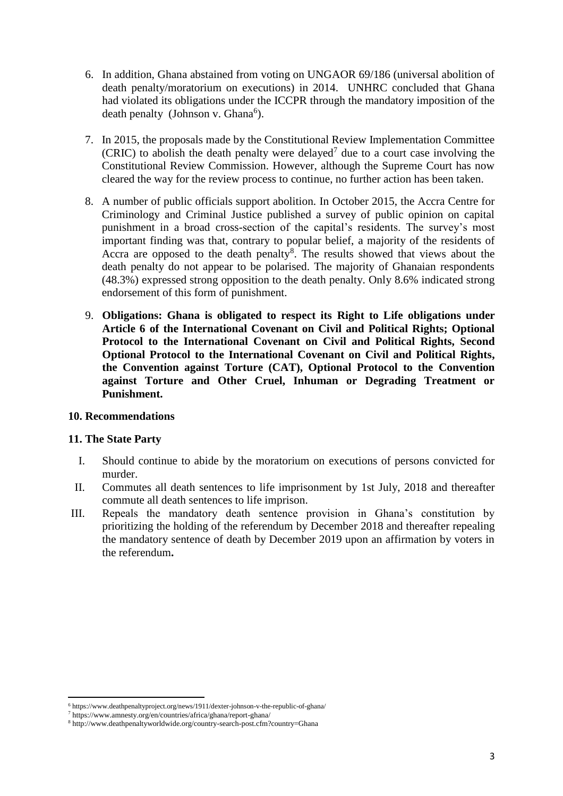- 6. In addition, Ghana abstained from voting on UNGAOR 69/186 (universal abolition of death penalty/moratorium on executions) in 2014. UNHRC concluded that Ghana had violated its obligations under the ICCPR through the mandatory imposition of the death penalty (Johnson v. Ghana<sup>6</sup>).
- 7. In 2015, the proposals made by the Constitutional Review Implementation Committee  $(CRIC)$  to abolish the death penalty were delayed<sup>7</sup> due to a court case involving the Constitutional Review Commission. However, although the Supreme Court has now cleared the way for the review process to continue, no further action has been taken.
- 8. A number of public officials support abolition. In October 2015, the Accra Centre for Criminology and Criminal Justice published a survey of public opinion on capital punishment in a broad cross-section of the capital's residents. The survey's most important finding was that, contrary to popular belief, a majority of the residents of Accra are opposed to the death penalty<sup>8</sup>. The results showed that views about the death penalty do not appear to be polarised. The majority of Ghanaian respondents (48.3%) expressed strong opposition to the death penalty. Only 8.6% indicated strong endorsement of this form of punishment.
- 9. **Obligations: Ghana is obligated to respect its Right to Life obligations under Article 6 of the International Covenant on Civil and Political Rights; Optional Protocol to the International Covenant on Civil and Political Rights, Second Optional Protocol to the International Covenant on Civil and Political Rights, the Convention against Torture (CAT), Optional Protocol to the Convention against Torture and Other Cruel, Inhuman or Degrading Treatment or Punishment.**

### **10. Recommendations**

# **11. The State Party**

- I. Should continue to abide by the moratorium on executions of persons convicted for murder.
- II. Commutes all death sentences to life imprisonment by 1st July, 2018 and thereafter commute all death sentences to life imprison.
- III. Repeals the mandatory death sentence provision in Ghana's constitution by prioritizing the holding of the referendum by December 2018 and thereafter repealing the mandatory sentence of death by December 2019 upon an affirmation by voters in the referendum**.**

 $\overline{a}$ <sup>6</sup> https://www.deathpenaltyproject.org/news/1911/dexter-johnson-v-the-republic-of-ghana/

<sup>7</sup> https://www.amnesty.org/en/countries/africa/ghana/report-ghana/

 $^8$ http://www.deathpenaltyworldwide.org/country-search-post.cfm?country=Ghana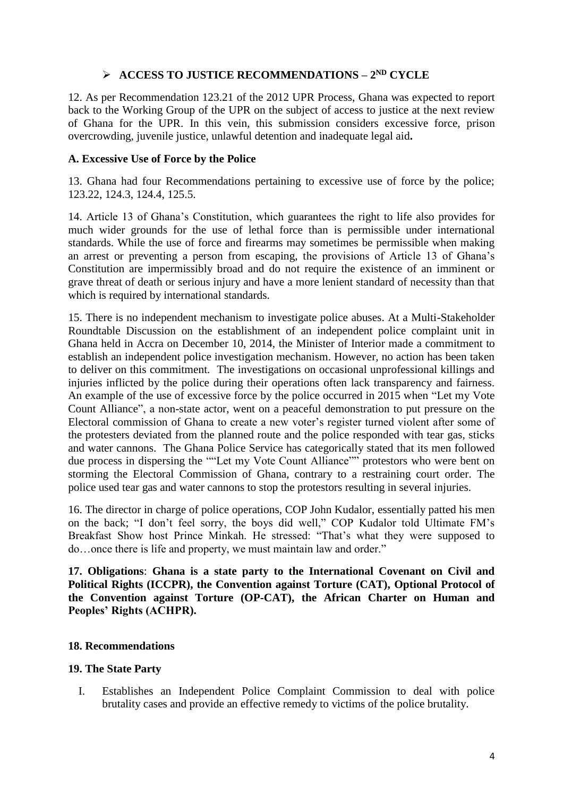# **ACCESS TO JUSTICE RECOMMENDATIONS – 2 ND CYCLE**

12. As per Recommendation 123.21 of the 2012 UPR Process, Ghana was expected to report back to the Working Group of the UPR on the subject of access to justice at the next review of Ghana for the UPR. In this vein, this submission considers excessive force, prison overcrowding, juvenile justice, unlawful detention and inadequate legal aid**.**

## **A. Excessive Use of Force by the Police**

13. Ghana had four Recommendations pertaining to excessive use of force by the police; 123.22, 124.3, 124.4, 125.5.

14. Article 13 of Ghana's Constitution, which guarantees the right to life also provides for much wider grounds for the use of lethal force than is permissible under international standards. While the use of force and firearms may sometimes be permissible when making an arrest or preventing a person from escaping, the provisions of Article 13 of Ghana's Constitution are impermissibly broad and do not require the existence of an imminent or grave threat of death or serious injury and have a more lenient standard of necessity than that which is required by international standards.

15. There is no independent mechanism to investigate police abuses. At a Multi-Stakeholder Roundtable Discussion on the establishment of an independent police complaint unit in Ghana held in Accra on December 10, 2014, the Minister of Interior made a commitment to establish an independent police investigation mechanism. However, no action has been taken to deliver on this commitment. The investigations on occasional unprofessional killings and injuries inflicted by the police during their operations often lack transparency and fairness. An example of the use of excessive force by the police occurred in 2015 when "Let my Vote Count Alliance", a non-state actor, went on a peaceful demonstration to put pressure on the Electoral commission of Ghana to create a new voter's register turned violent after some of the protesters deviated from the planned route and the police responded with tear gas, sticks and water cannons. The Ghana Police Service has categorically stated that its men followed due process in dispersing the ""Let my Vote Count Alliance"" protestors who were bent on storming the Electoral Commission of Ghana, contrary to a restraining court order. The police used tear gas and water cannons to stop the protestors resulting in several injuries.

16. The director in charge of police operations, COP John Kudalor, essentially patted his men on the back; "I don't feel sorry, the boys did well," COP Kudalor told Ultimate FM's Breakfast Show host Prince Minkah. He stressed: "That's what they were supposed to do…once there is life and property, we must maintain law and order."

**17. Obligations**: **Ghana is a state party to the International Covenant on Civil and Political Rights (ICCPR), the Convention against Torture (CAT), Optional Protocol of the Convention against Torture (OP-CAT), the African Charter on Human and Peoples' Rights (ACHPR).**

# **18. Recommendations**

### **19. The State Party**

I. Establishes an Independent Police Complaint Commission to deal with police brutality cases and provide an effective remedy to victims of the police brutality.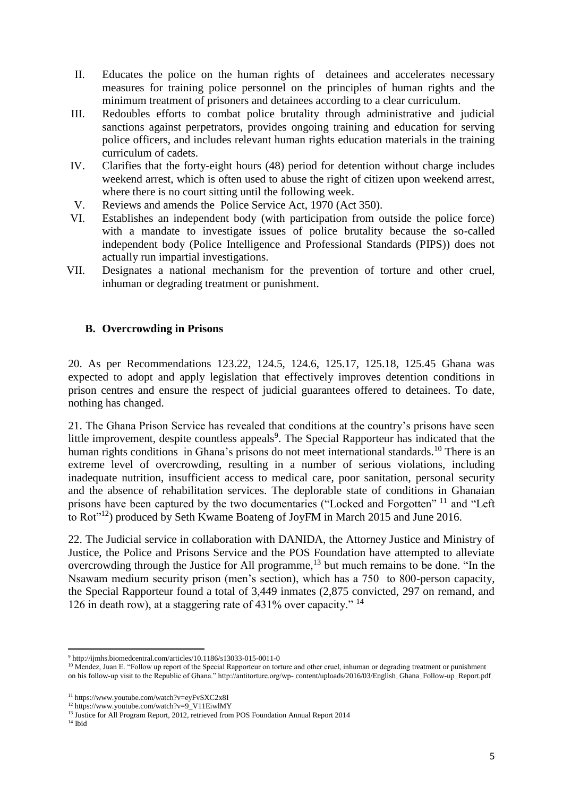- II. Educates the police on the human rights of detainees and accelerates necessary measures for training police personnel on the principles of human rights and the minimum treatment of prisoners and detainees according to a clear curriculum.
- III. Redoubles efforts to combat police brutality through administrative and judicial sanctions against perpetrators, provides ongoing training and education for serving police officers, and includes relevant human rights education materials in the training curriculum of cadets.
- IV. Clarifies that the forty-eight hours (48) period for detention without charge includes weekend arrest, which is often used to abuse the right of citizen upon weekend arrest, where there is no court sitting until the following week.
- V. Reviews and amends the Police Service Act, 1970 (Act 350).
- VI. Establishes an independent body (with participation from outside the police force) with a mandate to investigate issues of police brutality because the so-called independent body (Police Intelligence and Professional Standards (PIPS)) does not actually run impartial investigations.
- VII. Designates a national mechanism for the prevention of torture and other cruel, inhuman or degrading treatment or punishment.

# **B. Overcrowding in Prisons**

20. As per Recommendations 123.22, 124.5, 124.6, 125.17, 125.18, 125.45 Ghana was expected to adopt and apply legislation that effectively improves detention conditions in prison centres and ensure the respect of judicial guarantees offered to detainees. To date, nothing has changed.

21. The Ghana Prison Service has revealed that conditions at the country's prisons have seen little improvement, despite countless appeals<sup>9</sup>. The Special Rapporteur has indicated that the human rights conditions in Ghana's prisons do not meet international standards.<sup>10</sup> There is an extreme level of overcrowding, resulting in a number of serious violations, including inadequate nutrition, insufficient access to medical care, poor sanitation, personal security and the absence of rehabilitation services. The deplorable state of conditions in Ghanaian prisons have been captured by the two documentaries ("Locked and Forgotten" <sup>11</sup> and "Left to Rot"<sup>12</sup>) produced by Seth Kwame Boateng of JoyFM in March 2015 and June 2016.

22. The Judicial service in collaboration with DANIDA, the Attorney Justice and Ministry of Justice, the Police and Prisons Service and the POS Foundation have attempted to alleviate overcrowding through the Justice for All programme,<sup>13</sup> but much remains to be done. "In the Nsawam medium security prison (men's section), which has a 750 to 800-person capacity, the Special Rapporteur found a total of 3,449 inmates (2,875 convicted, 297 on remand, and 126 in death row), at a staggering rate of 431% over capacity." <sup>14</sup>

 $\overline{a}$ <sup>9</sup> http://ijmhs.biomedcentral.com/articles/10.1186/s13033-015-0011-0

<sup>&</sup>lt;sup>10</sup> Mendez, Juan E. "Follow up report of the Special Rapporteur on torture and other cruel, inhuman or degrading treatment or punishment on his follow-up visit to the Republic of Ghana." http://antitorture.org/wp- content/uploads/2016/03/English\_Ghana\_Follow-up\_Report.pdf

<sup>11</sup> https://www.youtube.com/watch?v=eyFvSXC2x8I

<sup>12</sup> https://www.youtube.com/watch?v=9\_V11EiwlMY

<sup>&</sup>lt;sup>13</sup> Justice for All Program Report, 2012, retrieved from POS Foundation Annual Report 2014

 $^{14}$  Ibid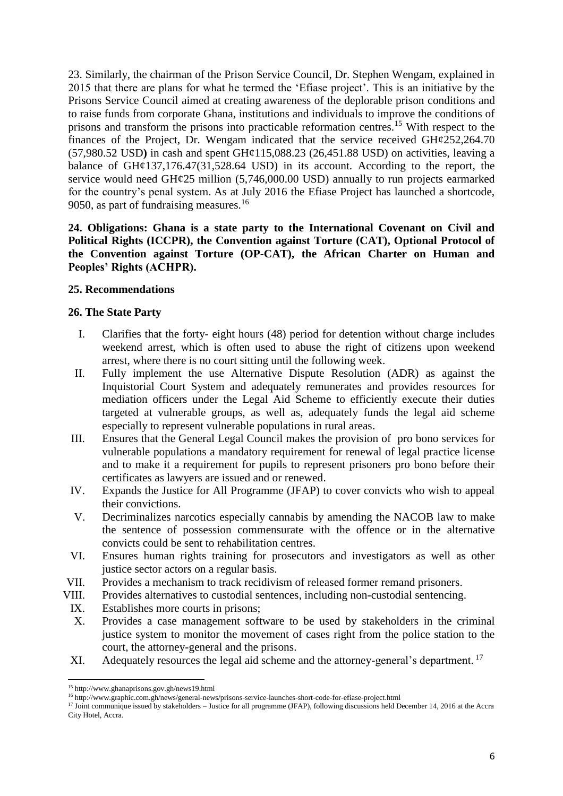23. Similarly, the chairman of the Prison Service Council, Dr. Stephen Wengam, explained in 2015 that there are plans for what he termed the 'Efiase project'. This is an initiative by the Prisons Service Council aimed at creating awareness of the deplorable prison conditions and to raise funds from corporate Ghana, institutions and individuals to improve the conditions of prisons and transform the prisons into practicable reformation centres.<sup>15</sup> With respect to the finances of the Project, Dr. Wengam indicated that the service received  $GH\varphi$ 252,264.70 (57,980.52 USD**)** in cash and spent GH¢115,088.23 (26,451.88 USD) on activities, leaving a balance of GH¢137,176.47(31,528.64 USD) in its account. According to the report, the service would need GH¢25 million (5,746,000.00 USD) annually to run projects earmarked for the country's penal system. As at July 2016 the Efiase Project has launched a shortcode, 9050, as part of fundraising measures.<sup>16</sup>

# **24. Obligations: Ghana is a state party to the International Covenant on Civil and Political Rights (ICCPR), the Convention against Torture (CAT), Optional Protocol of the Convention against Torture (OP-CAT), the African Charter on Human and Peoples' Rights (ACHPR).**

## **25. Recommendations**

## **26. The State Party**

- I. Clarifies that the forty- eight hours (48) period for detention without charge includes weekend arrest, which is often used to abuse the right of citizens upon weekend arrest, where there is no court sitting until the following week.
- II. Fully implement the use Alternative Dispute Resolution (ADR) as against the Inquistorial Court System and adequately remunerates and provides resources for mediation officers under the Legal Aid Scheme to efficiently execute their duties targeted at vulnerable groups, as well as, adequately funds the legal aid scheme especially to represent vulnerable populations in rural areas.
- III. Ensures that the General Legal Council makes the provision of pro bono services for vulnerable populations a mandatory requirement for renewal of legal practice license and to make it a requirement for pupils to represent prisoners pro bono before their certificates as lawyers are issued and or renewed.
- IV. Expands the Justice for All Programme (JFAP) to cover convicts who wish to appeal their convictions.
- V. Decriminalizes narcotics especially cannabis by amending the NACOB law to make the sentence of possession commensurate with the offence or in the alternative convicts could be sent to rehabilitation centres.
- VI. Ensures human rights training for prosecutors and investigators as well as other justice sector actors on a regular basis.
- VII. Provides a mechanism to track recidivism of released former remand prisoners.
- VIII. Provides alternatives to custodial sentences, including non-custodial sentencing.
- IX. Establishes more courts in prisons;
- X. Provides a case management software to be used by stakeholders in the criminal justice system to monitor the movement of cases right from the police station to the court, the attorney-general and the prisons.
- XI. Adequately resources the legal aid scheme and the attorney-general's department.<sup>17</sup>

 $\overline{a}$ <sup>15</sup> http://www.ghanaprisons.gov.gh/news19.html

<sup>16</sup> http://www.graphic.com.gh/news/general-news/prisons-service-launches-short-code-for-efiase-project.html

<sup>&</sup>lt;sup>17</sup> Joint communique issued by stakeholders – Justice for all programme (JFAP), following discussions held December 14, 2016 at the Accra City Hotel, Accra.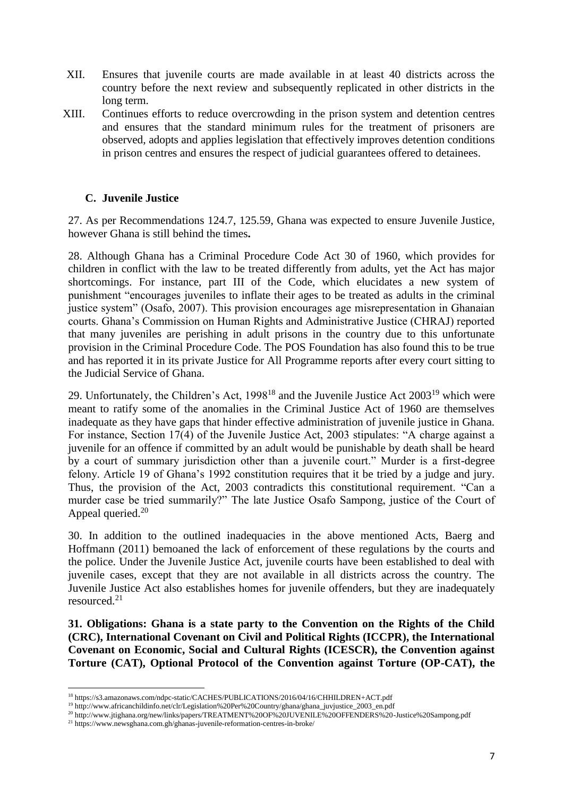- XII. Ensures that juvenile courts are made available in at least 40 districts across the country before the next review and subsequently replicated in other districts in the long term.
- XIII. Continues efforts to reduce overcrowding in the prison system and detention centres and ensures that the standard minimum rules for the treatment of prisoners are observed, adopts and applies legislation that effectively improves detention conditions in prison centres and ensures the respect of judicial guarantees offered to detainees.

## **C. Juvenile Justice**

27. As per Recommendations 124.7, 125.59, Ghana was expected to ensure Juvenile Justice, however Ghana is still behind the times**.**

28. Although Ghana has a Criminal Procedure Code Act 30 of 1960, which provides for children in conflict with the law to be treated differently from adults, yet the Act has major shortcomings. For instance, part III of the Code, which elucidates a new system of punishment "encourages juveniles to inflate their ages to be treated as adults in the criminal justice system" (Osafo, 2007). This provision encourages age misrepresentation in Ghanaian courts. Ghana's Commission on Human Rights and Administrative Justice (CHRAJ) reported that many juveniles are perishing in adult prisons in the country due to this unfortunate provision in the Criminal Procedure Code. The POS Foundation has also found this to be true and has reported it in its private Justice for All Programme reports after every court sitting to the Judicial Service of Ghana.

29. Unfortunately, the Children's Act, 1998<sup>18</sup> and the Juvenile Justice Act 2003<sup>19</sup> which were meant to ratify some of the anomalies in the Criminal Justice Act of 1960 are themselves inadequate as they have gaps that hinder effective administration of juvenile justice in Ghana. For instance, Section 17(4) of the Juvenile Justice Act, 2003 stipulates: "A charge against a juvenile for an offence if committed by an adult would be punishable by death shall be heard by a court of summary jurisdiction other than a juvenile court." Murder is a first-degree felony. Article 19 of Ghana's 1992 constitution requires that it be tried by a judge and jury. Thus, the provision of the Act, 2003 contradicts this constitutional requirement. "Can a murder case be tried summarily?" The late Justice Osafo Sampong, justice of the Court of Appeal queried.<sup>20</sup>

30. In addition to the outlined inadequacies in the above mentioned Acts, Baerg and Hoffmann (2011) bemoaned the lack of enforcement of these regulations by the courts and the police. Under the Juvenile Justice Act, juvenile courts have been established to deal with juvenile cases, except that they are not available in all districts across the country. The Juvenile Justice Act also establishes homes for juvenile offenders, but they are inadequately resourced.<sup>21</sup>

**31. Obligations: Ghana is a state party to the Convention on the Rights of the Child (CRC), International Covenant on Civil and Political Rights (ICCPR), the International Covenant on Economic, Social and Cultural Rights (ICESCR), the Convention against Torture (CAT), Optional Protocol of the Convention against Torture (OP-CAT), the** 

 $\overline{\phantom{a}}$ <sup>18</sup> https://s3.amazonaws.com/ndpc-static/CACHES/PUBLICATIONS/2016/04/16/CHHILDREN+ACT.pdf

<sup>19</sup> http://www.africanchildinfo.net/clr/Legislation%20Per%20Country/ghana/ghana\_juvjustice\_2003\_en.pdf

<sup>20</sup> http://www.jtighana.org/new/links/papers/TREATMENT%20OF%20JUVENILE%20OFFENDERS%20-Justice%20Sampong.pdf

<sup>21</sup> https://www.newsghana.com.gh/ghanas-juvenile-reformation-centres-in-broke/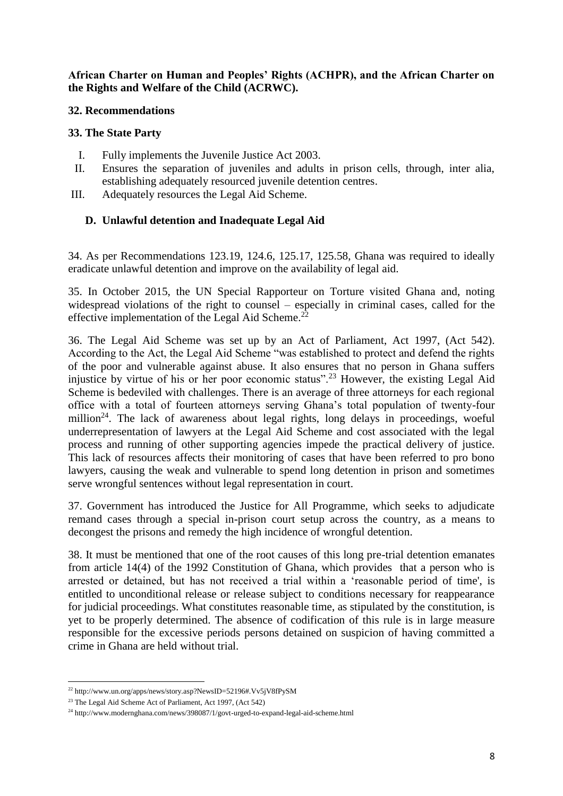**African Charter on Human and Peoples' Rights (ACHPR), and the African Charter on the Rights and Welfare of the Child (ACRWC).**

### **32. Recommendations**

## **33. The State Party**

- I. Fully implements the Juvenile Justice Act 2003.
- II. Ensures the separation of juveniles and adults in prison cells, through, inter alia, establishing adequately resourced juvenile detention centres.
- III. Adequately resources the Legal Aid Scheme.

# **D. Unlawful detention and Inadequate Legal Aid**

34. As per Recommendations 123.19, 124.6, 125.17, 125.58, Ghana was required to ideally eradicate unlawful detention and improve on the availability of legal aid.

35. In October 2015, the UN Special Rapporteur on Torture visited Ghana and, noting widespread violations of the right to counsel – especially in criminal cases, called for the effective implementation of the Legal Aid Scheme.<sup>22</sup>

36. The Legal Aid Scheme was set up by an Act of Parliament, Act 1997, (Act 542). According to the Act, the Legal Aid Scheme "was established to protect and defend the rights of the poor and vulnerable against abuse. It also ensures that no person in Ghana suffers injustice by virtue of his or her poor economic status".<sup>23</sup> However, the existing Legal Aid Scheme is bedeviled with challenges. There is an average of three attorneys for each regional office with a total of fourteen attorneys serving Ghana's total population of twenty-four million<sup>24</sup>. The lack of awareness about legal rights, long delays in proceedings, woeful underrepresentation of lawyers at the Legal Aid Scheme and cost associated with the legal process and running of other supporting agencies impede the practical delivery of justice. This lack of resources affects their monitoring of cases that have been referred to pro bono lawyers, causing the weak and vulnerable to spend long detention in prison and sometimes serve wrongful sentences without legal representation in court.

37. Government has introduced the Justice for All Programme, which seeks to adjudicate remand cases through a special in-prison court setup across the country, as a means to decongest the prisons and remedy the high incidence of wrongful detention.

38. It must be mentioned that one of the root causes of this long pre-trial detention emanates from article 14(4) of the 1992 Constitution of Ghana, which provides that a person who is arrested or detained, but has not received a trial within a 'reasonable period of time', is entitled to unconditional release or release subject to conditions necessary for reappearance for judicial proceedings. What constitutes reasonable time, as stipulated by the constitution, is yet to be properly determined. The absence of codification of this rule is in large measure responsible for the excessive periods persons detained on suspicion of having committed a crime in Ghana are held without trial.

 $\overline{a}$ <sup>22</sup> http://www.un.org/apps/news/story.asp?NewsID=52196#.Vv5jV8fPySM

<sup>23</sup> The Legal Aid Scheme Act of Parliament, Act 1997, (Act 542)

<sup>24</sup> http://www.modernghana.com/news/398087/1/govt-urged-to-expand-legal-aid-scheme.html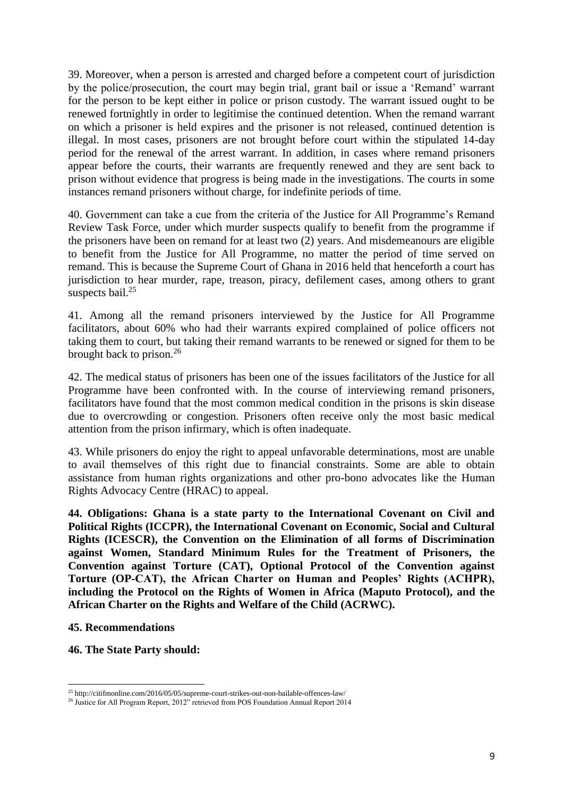39. Moreover, when a person is arrested and charged before a competent court of jurisdiction by the police/prosecution, the court may begin trial, grant bail or issue a 'Remand' warrant for the person to be kept either in police or prison custody. The warrant issued ought to be renewed fortnightly in order to legitimise the continued detention. When the remand warrant on which a prisoner is held expires and the prisoner is not released, continued detention is illegal. In most cases, prisoners are not brought before court within the stipulated 14-day period for the renewal of the arrest warrant. In addition, in cases where remand prisoners appear before the courts, their warrants are frequently renewed and they are sent back to prison without evidence that progress is being made in the investigations. The courts in some instances remand prisoners without charge, for indefinite periods of time.

40. Government can take a cue from the criteria of the Justice for All Programme's Remand Review Task Force, under which murder suspects qualify to benefit from the programme if the prisoners have been on remand for at least two (2) years. And misdemeanours are eligible to benefit from the Justice for All Programme, no matter the period of time served on remand. This is because the Supreme Court of Ghana in 2016 held that henceforth a court has jurisdiction to hear murder, rape, treason, piracy, defilement cases, among others to grant suspects bail.<sup>25</sup>

41. Among all the remand prisoners interviewed by the Justice for All Programme facilitators, about 60% who had their warrants expired complained of police officers not taking them to court, but taking their remand warrants to be renewed or signed for them to be brought back to prison. $2<sup>6</sup>$ 

42. The medical status of prisoners has been one of the issues facilitators of the Justice for all Programme have been confronted with. In the course of interviewing remand prisoners, facilitators have found that the most common medical condition in the prisons is skin disease due to overcrowding or congestion. Prisoners often receive only the most basic medical attention from the prison infirmary, which is often inadequate.

43. While prisoners do enjoy the right to appeal unfavorable determinations, most are unable to avail themselves of this right due to financial constraints. Some are able to obtain assistance from human rights organizations and other pro-bono advocates like the Human Rights Advocacy Centre (HRAC) to appeal.

**44. Obligations: Ghana is a state party to the International Covenant on Civil and Political Rights (ICCPR), the International Covenant on Economic, Social and Cultural Rights (ICESCR), the Convention on the Elimination of all forms of Discrimination against Women, Standard Minimum Rules for the Treatment of Prisoners, the Convention against Torture (CAT), Optional Protocol of the Convention against Torture (OP-CAT), the African Charter on Human and Peoples' Rights (ACHPR), including the Protocol on the Rights of Women in Africa (Maputo Protocol), and the African Charter on the Rights and Welfare of the Child (ACRWC).**

### **45. Recommendations**

**46. The State Party should:**

 $\overline{a}$ <sup>25</sup> http://citifmonline.com/2016/05/05/supreme-court-strikes-out-non-bailable-offences-law/

<sup>&</sup>lt;sup>26</sup> Justice for All Program Report, 2012" retrieved from POS Foundation Annual Report 2014